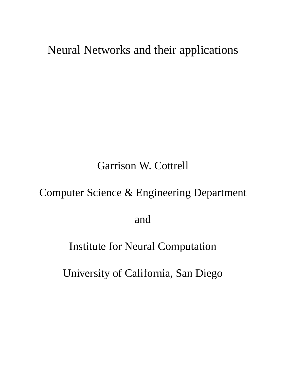#### Neural Networks and their applications

#### Garrison W. Cottrell

#### Computer Science & Engineering Department

and

#### Institute for Neural Computation

University of California, San Diego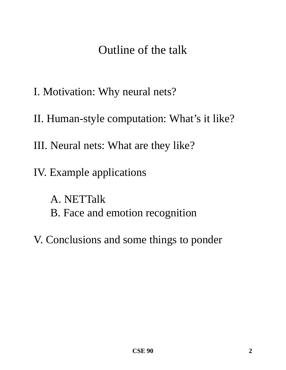#### Outline of the talk

- I. Motivation: Why neural nets?
- II. Human-style computation: What's it like?
- III. Neural nets: What are they like?
- IV. Example applications
	- A. NETTalk B. Face and emotion recognition
- V. Conclusions and some things to ponder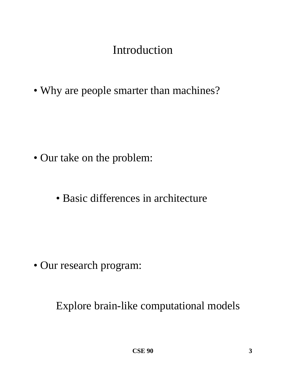## Introduction

• Why are people smarter than machines?

- Our take on the problem:
	- Basic differences in architecture

• Our research program:

Explore brain-like computational models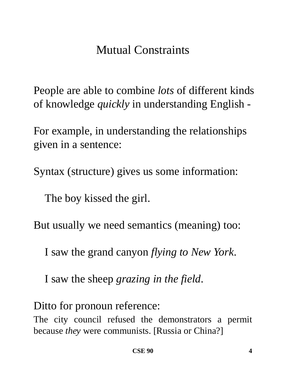## Mutual Constraints

People are able to combine *lots* of different kinds of knowledge *quickly* in understanding English -

For example, in understanding the relationships given in a sentence:

Syntax (structure) gives us some information:

The boy kissed the girl.

But usually we need semantics (meaning) too:

I saw the grand canyon *flying to New York*.

I saw the sheep *grazing in the field*.

Ditto for pronoun reference:

The city council refused the demonstrators a permit because *they* were communists. [Russia or China?]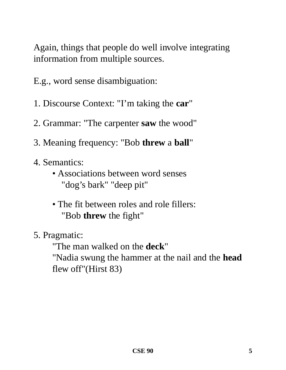Again, things that people do well involve integrating information from multiple sources.

E.g., word sense disambiguation:

- 1. Discourse Context: "I'm taking the **car**"
- 2. Grammar: "The carpenter **saw** the wood"
- 3. Meaning frequency: "Bob **threw** a **ball**"
- 4. Semantics:
	- Associations between word senses "dog's bark" "deep pit"
	- The fit between roles and role fillers: "Bob **threw** the fight"
- 5. Pragmatic:

"The man walked on the **deck**"

"Nadia swung the hammer at the nail and the **head** flew off"(Hirst 83)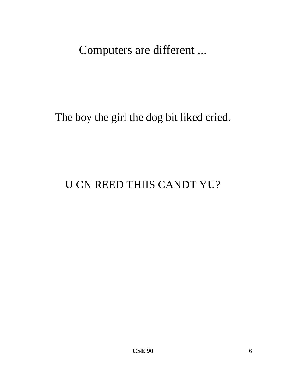Computers are different ...

#### The boy the girl the dog bit liked cried.

#### **U CN REED THIIS CANDT YU?**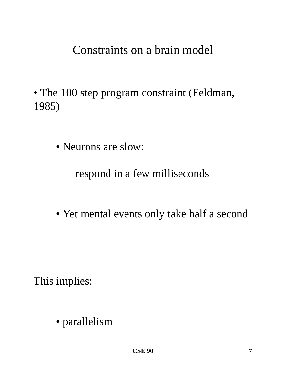Constraints on a brain model

- The 100 step program constraint (Feldman, 1985)
	- Neurons are slow:

#### respond in a few milliseconds

• Yet mental events only take half a second

This implies:

• parallelism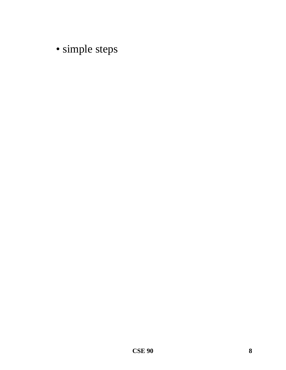· simple steps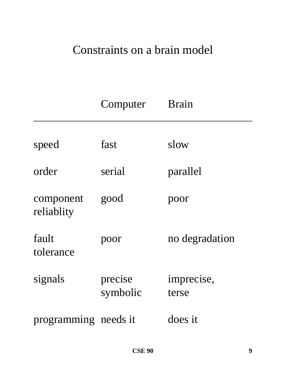### Constraints on a brain model

|                      | Computer            | <b>Brain</b>        |
|----------------------|---------------------|---------------------|
| speed                | fast                | slow                |
| order                | serial              | parallel            |
| component            | good                | poor                |
| reliablity           |                     |                     |
| fault<br>tolerance   | poor                | no degradation      |
| signals              | precise<br>symbolic | imprecise,<br>terse |
| programming needs it |                     | does it             |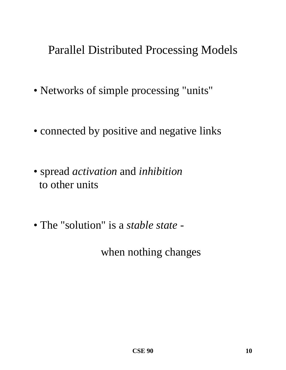### Parallel Distributed Processing Models

- Networks of simple processing "units"
- connected by positive and negative links
- spread *activation* and *inhibition* to other units
- The "solution" is a *stable state* -

when nothing changes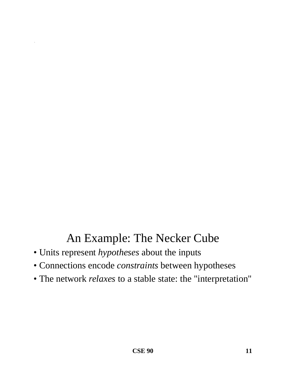## An Example: The Necker Cube

• Units represent *hypotheses* about the inputs

.

- Connections encode *constraints* between hypotheses
- The network *relaxes* to a stable state: the "interpretation"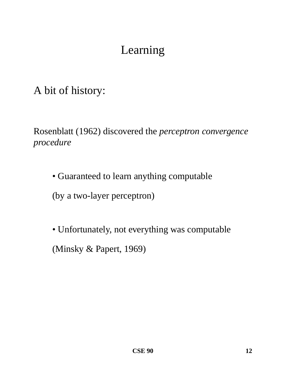# Learning

A bit of history:

Rosenblatt (1962) discovered the *perceptron convergence procedure*

• Guaranteed to learn anything computable

(by a two-layer perceptron)

• Unfortunately, not everything was computable (Minsky & Papert, 1969)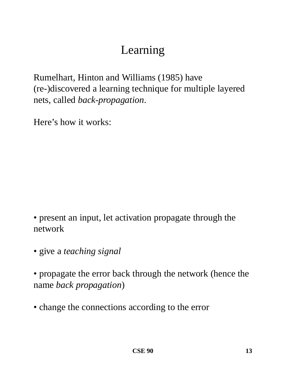# Learning

Rumelhart, Hinton and Williams (1985) have (re-)discovered a learning technique for multiple layered nets, called *back-propagation*.

Here's how it works:

• present an input, let activation propagate through the network

• give a *teaching signal* 

• propagate the error back through the network (hence the name *back propagation*)

• change the connections according to the error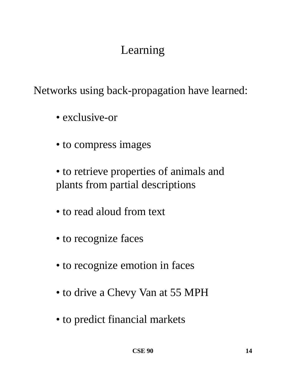# Learning

Networks using back-propagation have learned:

- exclusive-or
- to compress images

• to retrieve properties of animals and plants from partial descriptions

- to read aloud from text
- to recognize faces
- to recognize emotion in faces
- to drive a Chevy Van at 55 MPH
- to predict financial markets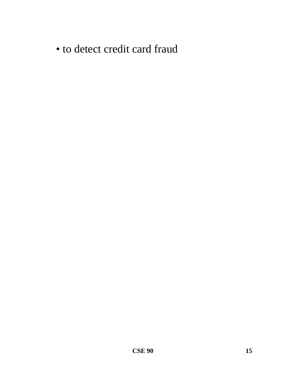• to detect credit card fraud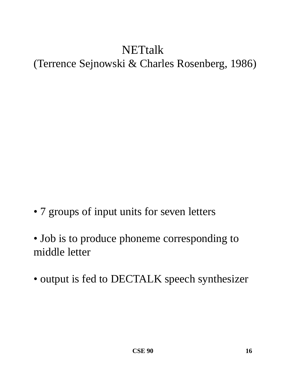## **NETtalk** (Terrence Sejnowski & Charles Rosenberg, 1986)

- 7 groups of input units for seven letters
- Job is to produce phoneme corresponding to middle letter
- output is fed to DECTALK speech synthesizer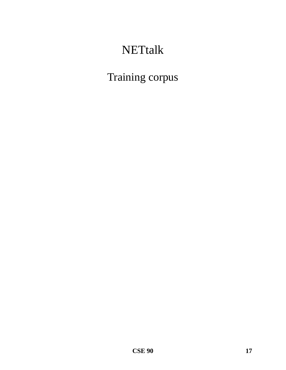## **NETtalk**

Training corpus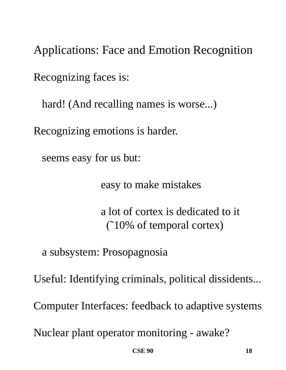Applications: Face and Emotion Recognition Recognizing faces is:

hard! (And recalling names is worse...)

Recognizing emotions is harder.

seems easy for us but:

easy to make mistakes

a lot of cortex is dedicated to it (˜10% of temporal cortex)

a subsystem: Prosopagnosia

Useful: Identifying criminals, political dissidents...

Computer Interfaces: feedback to adaptive systems

Nuclear plant operator monitoring - awake?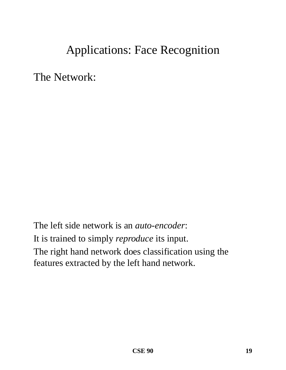### Applications: Face Recognition

The Network:

The left side network is an *auto-encoder*: It is trained to simply *reproduce* its input. The right hand network does classification using the features extracted by the left hand network.